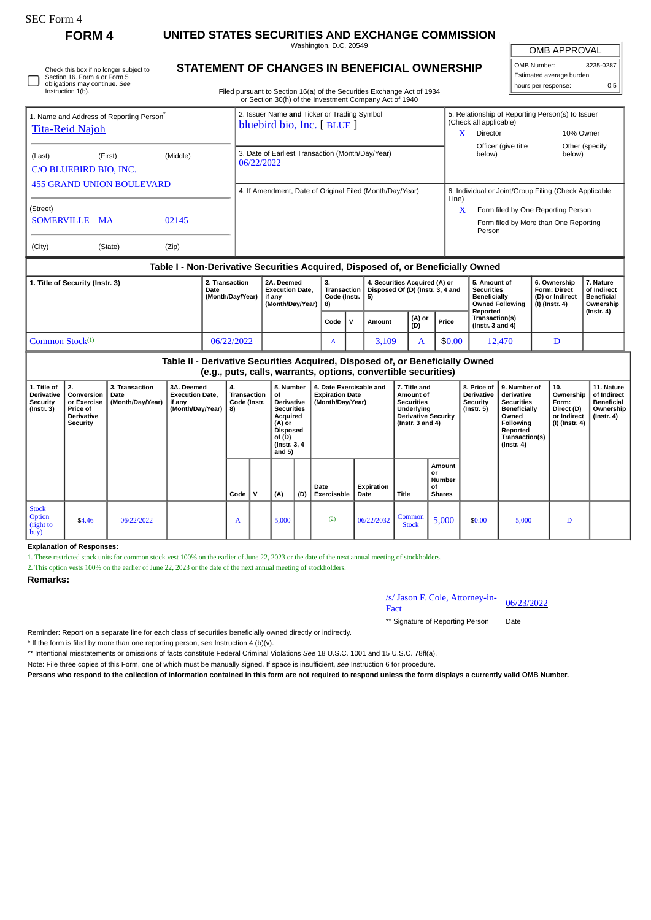Instruction 1(b)

# **FORM 4 UNITED STATES SECURITIES AND EXCHANGE COMMISSION**

Washington, D.C. 20549

OMB APPROVAL

| OMB Number:              | 3235-0287 |  |  |  |  |
|--------------------------|-----------|--|--|--|--|
| Estimated average burden |           |  |  |  |  |
| hours per response:      | 0.5       |  |  |  |  |

Filed pursuant to Section 16(a) of the Securities Exchange Act of 1934 or Section 30(h) of the Investment Company Act of 1940

|                                                                                |                                                                                  |          | OF SECTION SOUTH OF THE INVESTMENT COMPANY ACT OF 1940                   |                                                                            |                                                 |                          |  |
|--------------------------------------------------------------------------------|----------------------------------------------------------------------------------|----------|--------------------------------------------------------------------------|----------------------------------------------------------------------------|-------------------------------------------------|--------------------------|--|
| 1. Name and Address of Reporting Person <sup>®</sup><br><b>Tita-Reid Najoh</b> |                                                                                  |          | 2. Issuer Name and Ticker or Trading Symbol<br>bluebird bio, Inc. [BLUE] | 5. Relationship of Reporting Person(s) to Issuer<br>(Check all applicable) |                                                 |                          |  |
|                                                                                |                                                                                  |          |                                                                          | X                                                                          | Director                                        | 10% Owner                |  |
| (Last)<br>C/O BLUEBIRD BIO, INC.                                               | (First)                                                                          | (Middle) | 3. Date of Earliest Transaction (Month/Day/Year)<br>06/22/2022           |                                                                            | Officer (give title<br>below)                   | Other (specify<br>below) |  |
| <b>455 GRAND UNION BOULEVARD</b>                                               |                                                                                  |          | 4. If Amendment, Date of Original Filed (Month/Day/Year)                 | 6. Individual or Joint/Group Filing (Check Applicable                      |                                                 |                          |  |
| (Street)                                                                       |                                                                                  |          |                                                                          | Line)<br>X                                                                 | Form filed by One Reporting Person              |                          |  |
| SOMERVILLE MA                                                                  |                                                                                  | 02145    |                                                                          |                                                                            | Form filed by More than One Reporting<br>Person |                          |  |
| (City)                                                                         | (State)                                                                          | (Zip)    |                                                                          |                                                                            |                                                 |                          |  |
|                                                                                | Table I - Non-Derivative Securities Acquired, Disposed of, or Beneficially Owned |          |                                                                          |                                                                            |                                                 |                          |  |

| 1. Title of Security (Instr. 3) | 2. Transaction<br>Date<br>(Month/Day/Year) | 2A. Deemed<br><b>Execution Date.</b><br>if anv<br>(Month/Dav/Year) 3 | з.<br><b>Transaction</b><br>Code (Instr. $ 5$ ) | 4. Securities Acquired (A) or<br>Disposed Of (D) (Instr. 3, 4 and |               | 5. Amount of<br><b>Securities</b><br><b>Beneficially</b><br>Owned Following<br>Reported | 6. Ownership<br><b>Form: Direct</b><br>(D) or Indirect<br>  (I) (Instr. 4) | 7. Nature<br>of Indirect<br>  Beneficial<br>Ownership<br>$($ lnstr. 4 $)$ |  |
|---------------------------------|--------------------------------------------|----------------------------------------------------------------------|-------------------------------------------------|-------------------------------------------------------------------|---------------|-----------------------------------------------------------------------------------------|----------------------------------------------------------------------------|---------------------------------------------------------------------------|--|
|                                 |                                            |                                                                      | Code                                            | Amount                                                            | (A) or<br>(D) | Price                                                                                   | Transaction(s)<br>( $Instr. 3 and 4$ )                                     |                                                                           |  |
| l Common Stock <sup>(1)</sup>   | 06/22/2022                                 |                                                                      | A                                               | 3,109                                                             |               | \$0.00                                                                                  | 12.470                                                                     |                                                                           |  |

**Table II - Derivative Securities Acquired, Disposed of, or Beneficially Owned (e.g., puts, calls, warrants, options, convertible securities) 1. Title of Derivative Security (Instr. 3) 2. Conversion or Exercise Price of Derivative Security 3. Transaction Date (Month/Day/Year) 3A. Deemed Execution Date, if any (Month/Day/Year) 4. Transaction Code (Instr. 8) 5. Number of Derivative Securities Acquired (A) or Disposed of (D) (Instr. 3, 4 and 5) 6. Date Exercisable and Expiration Date (Month/Day/Year) 7. Title and Amount of Securities Underlying Derivative Security (Instr. 3 and 4) 8. Price of Derivative Security (Instr. 5) 9. Number of derivative Securities Beneficially Owned Following Reported Transaction(s) (Instr. 4) 10. Ownership Form: Direct (D) or Indirect (I) (Instr. 4) 11. Nature of Indirect Beneficial Ownership (Instr. 4) Code V (A) (D) Date Exercisable Expiration Title Amount or Number of Shares** Stock **Option** (right to buy) \$4.46 06/22/2022 A 5,000 (2) 06/22/2032 Common  $\begin{array}{|c|c|c|c|c|c|c|c|} \hline \text{ommon} & 5,000 & 5,000 & 5,000 & D \ \hline \end{array}$ 

**Explanation of Responses:**

1. These restricted stock units for common stock vest 100% on the earlier of June 22, 2023 or the date of the next annual meeting of stockholders.

2. This option vests 100% on the earlier of June 22, 2023 or the date of the next annual meeting of stockholders.

### **Remarks:**

/s/ Jason F. Cole, Attorney-in- $\frac{\text{S}}{\text{S}}$ Jason F. Cole, Attorney-in-<br>Fact

\*\* Signature of Reporting Person Date

Reminder: Report on a separate line for each class of securities beneficially owned directly or indirectly.

\* If the form is filed by more than one reporting person, *see* Instruction 4 (b)(v).

\*\* Intentional misstatements or omissions of facts constitute Federal Criminal Violations *See* 18 U.S.C. 1001 and 15 U.S.C. 78ff(a).

Note: File three copies of this Form, one of which must be manually signed. If space is insufficient, *see* Instruction 6 for procedure.

**Persons who respond to the collection of information contained in this form are not required to respond unless the form displays a currently valid OMB Number.**

| Check this box if no longer subject to |
|----------------------------------------|
| Section 16. Form 4 or Form 5           |
| obligations may continue. See          |

## **STATEMENT OF CHANGES IN BENEFICIAL OWNERSHIP**